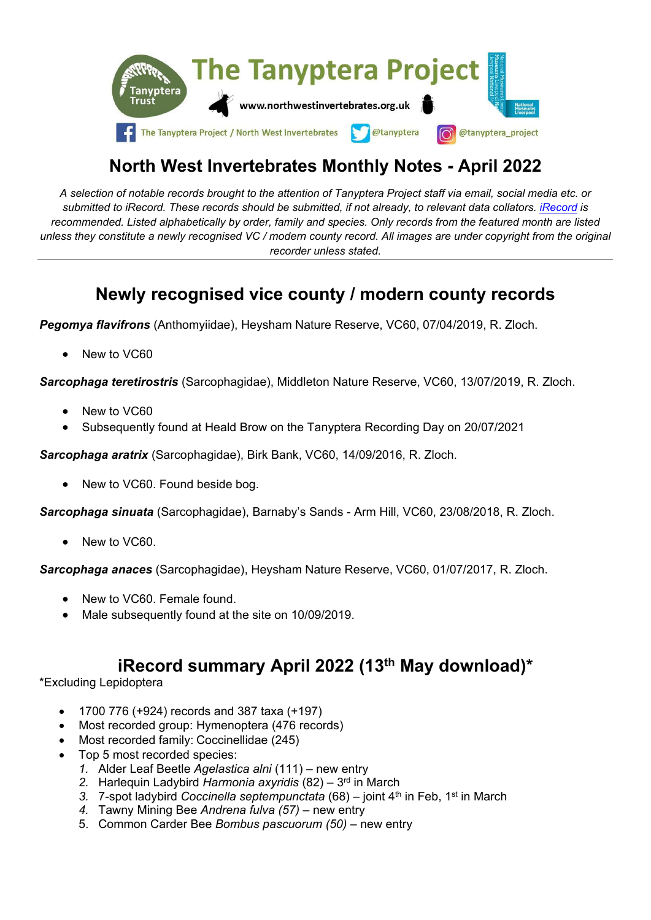

# **North West Invertebrates Monthly Notes - April 2022**

*A selection of notable records brought to the attention of Tanyptera Project staff via email, social media etc. or submitted to iRecord. These records should be submitted, if not already, to relevant data collators. [iRecord](https://www.brc.ac.uk/irecord/) is recommended. Listed alphabetically by order, family and species. Only records from the featured month are listed unless they constitute a newly recognised VC / modern county record. All images are under copyright from the original recorder unless stated.*

### **Newly recognised vice county / modern county records**

*Pegomya flavifrons* (Anthomyiidae), Heysham Nature Reserve, VC60, 07/04/2019, R. Zloch.

• New to VC60

*Sarcophaga teretirostris* (Sarcophagidae), Middleton Nature Reserve, VC60, 13/07/2019, R. Zloch.

- New to VC60
- Subsequently found at Heald Brow on the Tanyptera Recording Day on 20/07/2021

*Sarcophaga aratrix* (Sarcophagidae), Birk Bank, VC60, 14/09/2016, R. Zloch.

• New to VC60. Found beside bog.

*Sarcophaga sinuata* (Sarcophagidae), Barnaby's Sands - Arm Hill, VC60, 23/08/2018, R. Zloch.

New to VC60.

*Sarcophaga anaces* (Sarcophagidae), Heysham Nature Reserve, VC60, 01/07/2017, R. Zloch.

- New to VC60. Female found.
- Male subsequently found at the site on 10/09/2019.

### **iRecord summary April 2022 (13th May download)\***

\*Excluding Lepidoptera

- 1700 776 (+924) records and 387 taxa (+197)
- Most recorded group: Hymenoptera (476 records)
- Most recorded family: Coccinellidae (245)
- Top 5 most recorded species:
	- *1.* Alder Leaf Beetle *Agelastica alni* (111)new entry
	- *2.* Harlequin Ladybird *Harmonia axyridis* (82) 3rd in March
	- 3. 7-spot ladybird *Coccinella septempunctata* (68) joint 4<sup>th</sup> in Feb, 1<sup>st</sup> in March
	- *4.* Tawny Mining Bee *Andrena fulva (57)* new entry
	- 5. Common Carder Bee *Bombus pascuorum (50)* new entry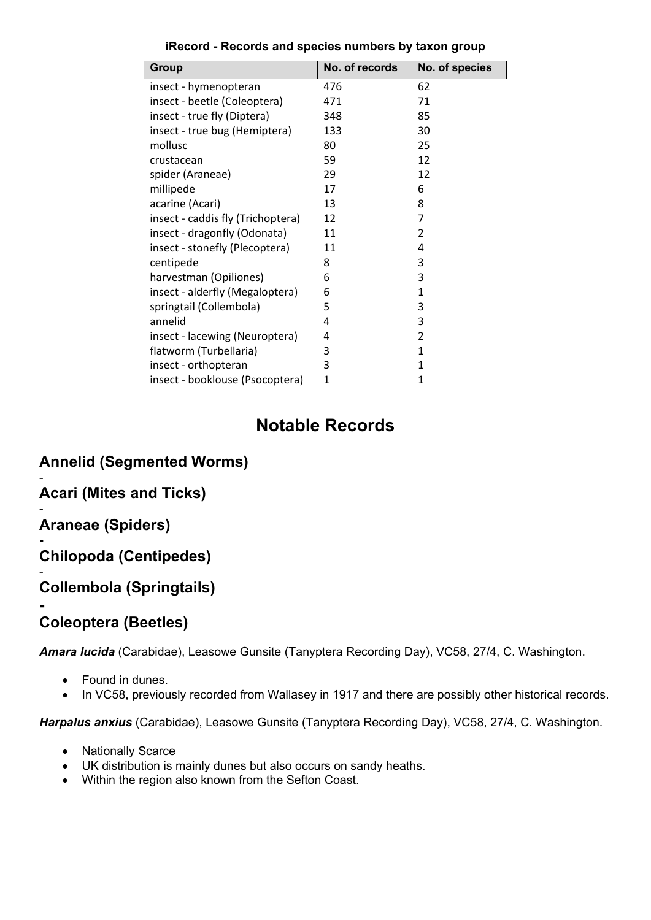| Group                             | No. of records | No. of species |
|-----------------------------------|----------------|----------------|
| insect - hymenopteran             | 476            | 62             |
| insect - beetle (Coleoptera)      | 471            | 71             |
| insect - true fly (Diptera)       | 348            | 85             |
| insect - true bug (Hemiptera)     | 133            | 30             |
| mollusc                           | 80             | 25             |
| crustacean                        | 59             | 12             |
| spider (Araneae)                  | 29             | 12             |
| millipede                         | 17             | 6              |
| acarine (Acari)                   | 13             | 8              |
| insect - caddis fly (Trichoptera) | 12             | 7              |
| insect - dragonfly (Odonata)      | 11             | $\overline{2}$ |
| insect - stonefly (Plecoptera)    | 11             | 4              |
| centipede                         | 8              | 3              |
| harvestman (Opiliones)            | 6              | 3              |
| insect - alderfly (Megaloptera)   | 6              | $\mathbf{1}$   |
| springtail (Collembola)           | 5              | 3              |
| annelid                           | 4              | 3              |
| insect - lacewing (Neuroptera)    | 4              | 2              |
| flatworm (Turbellaria)            | 3              | 1              |
| insect - orthopteran              | 3              | $\mathbf{1}$   |
| insect - booklouse (Psocoptera)   | 1              | 1              |

#### **iRecord - Records and species numbers by taxon group**

## **Notable Records**

### **Annelid (Segmented Worms)**

#### - **Acari (Mites and Ticks)**

#### - **Araneae (Spiders)**

#### **- Chilopoda (Centipedes)**

#### - **Collembola (Springtails)**

#### **- Coleoptera (Beetles)**

*Amara lucida* (Carabidae), Leasowe Gunsite (Tanyptera Recording Day), VC58, 27/4, C. Washington.

- Found in dunes.
- In VC58, previously recorded from Wallasey in 1917 and there are possibly other historical records.

*Harpalus anxius* (Carabidae), Leasowe Gunsite (Tanyptera Recording Day), VC58, 27/4, C. Washington.

- Nationally Scarce
- UK distribution is mainly dunes but also occurs on sandy heaths.
- Within the region also known from the Sefton Coast.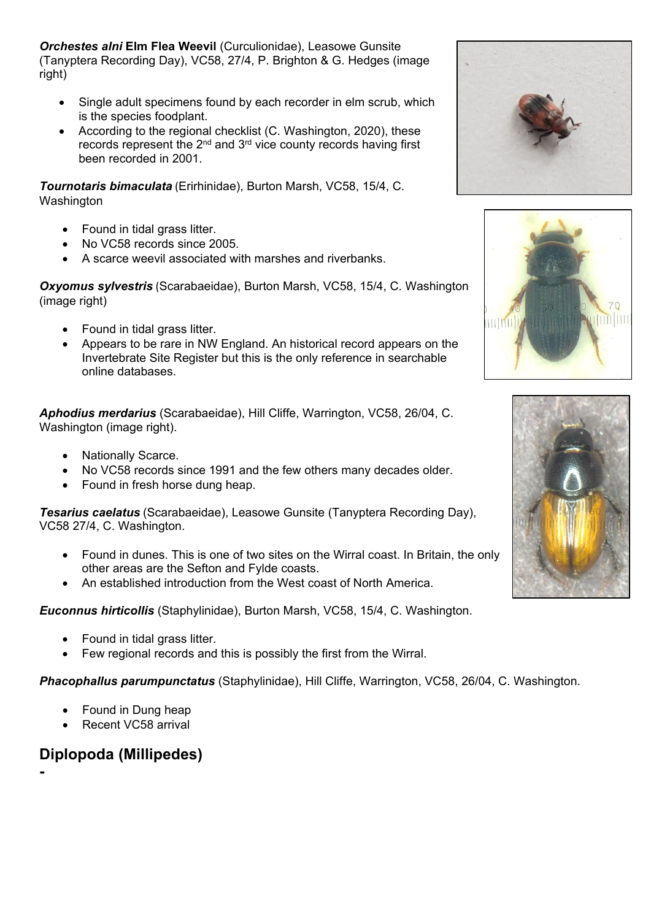*Orchestes alni* **Elm Flea Weevil** (Curculionidae), Leasowe Gunsite (Tanyptera Recording Day), VC58, 27/4, P. Brighton & G. Hedges (image right)

- Single adult specimens found by each recorder in elm scrub, which is the species foodplant.
- According to the regional checklist (C. Washington, 2020), these records represent the  $2^{nd}$  and  $3^{rd}$  vice county records having first been recorded in 2001.

*Tournotaris bimaculata* (Erirhinidae), Burton Marsh, VC58, 15/4, C. Washington

- Found in tidal grass litter.
- No VC58 records since 2005.
- A scarce weevil associated with marshes and riverbanks.

*Oxyomus sylvestris* (Scarabaeidae), Burton Marsh, VC58, 15/4, C. Washington (image right)

- Found in tidal grass litter.
- Appears to be rare in NW England. An historical record appears on the Invertebrate Site Register but this is the only reference in searchable online databases.

*Aphodius merdarius* (Scarabaeidae), Hill Cliffe, Warrington, VC58, 26/04, C. Washington (image right).

- Nationally Scarce.
- No VC58 records since 1991 and the few others many decades older.
- Found in fresh horse dung heap.

*Tesarius caelatus* (Scarabaeidae), Leasowe Gunsite (Tanyptera Recording Day), VC58 27/4, C. Washington.

- Found in dunes. This is one of two sites on the Wirral coast. In Britain, the only other areas are the Sefton and Fylde coasts.
- An established introduction from the West coast of North America.

*Euconnus hirticollis* (Staphylinidae), Burton Marsh, VC58, 15/4, C. Washington.

- Found in tidal grass litter.
- Few regional records and this is possibly the first from the Wirral.

*Phacophallus parumpunctatus* (Staphylinidae), Hill Cliffe, Warrington, VC58, 26/04, C. Washington.

- Found in Dung heap
- Recent VC58 arrival

### **Diplopoda (Millipedes)**

**-** 





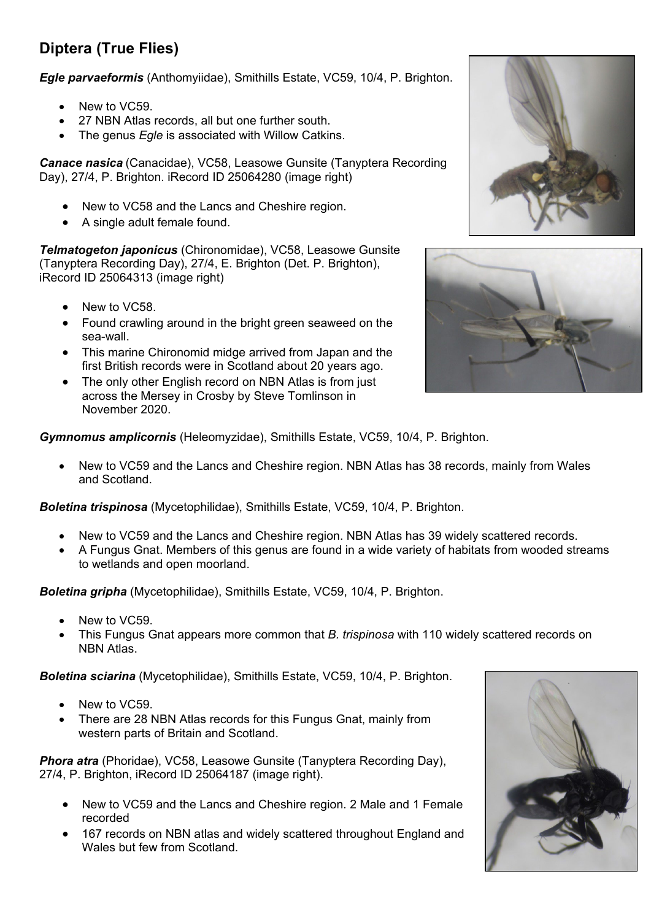### **Diptera (True Flies)**

*Egle parvaeformis* (Anthomyiidae), Smithills Estate, VC59, 10/4, P. Brighton.

- New to VC59.
- 27 NBN Atlas records, all but one further south.
- The genus *Egle* is associated with Willow Catkins.

*Canace nasica* (Canacidae), VC58, Leasowe Gunsite (Tanyptera Recording Day), 27/4, P. Brighton. iRecord ID 25064280 (image right)

- New to VC58 and the Lancs and Cheshire region.
- A single adult female found.

*Telmatogeton japonicus* (Chironomidae), VC58, Leasowe Gunsite (Tanyptera Recording Day), 27/4, E. Brighton (Det. P. Brighton), iRecord ID 25064313 (image right)

- New to VC58
- Found crawling around in the bright green seaweed on the sea-wall.
- This marine Chironomid midge arrived from Japan and the first British records were in Scotland about 20 years ago.
- The only other English record on NBN Atlas is from just across the Mersey in Crosby by Steve Tomlinson in November 2020.

*Gymnomus amplicornis* (Heleomyzidae), Smithills Estate, VC59, 10/4, P. Brighton.

• New to VC59 and the Lancs and Cheshire region. NBN Atlas has 38 records, mainly from Wales and Scotland.

*Boletina trispinosa* (Mycetophilidae), Smithills Estate, VC59, 10/4, P. Brighton.

- New to VC59 and the Lancs and Cheshire region. NBN Atlas has 39 widely scattered records.
- A Fungus Gnat. Members of this genus are found in a wide variety of habitats from wooded streams to wetlands and open moorland.

*Boletina gripha* (Mycetophilidae), Smithills Estate, VC59, 10/4, P. Brighton.

- New to VC59
- This Fungus Gnat appears more common that *B. trispinosa* with 110 widely scattered records on NBN Atlas.

*Boletina sciarina* (Mycetophilidae), Smithills Estate, VC59, 10/4, P. Brighton.

- New to VC59.
- There are 28 NBN Atlas records for this Fungus Gnat, mainly from western parts of Britain and Scotland.

**Phora atra** (Phoridae), VC58, Leasowe Gunsite (Tanyptera Recording Day), 27/4, P. Brighton, iRecord ID 25064187 (image right).

- New to VC59 and the Lancs and Cheshire region. 2 Male and 1 Female recorded
- 167 records on NBN atlas and widely scattered throughout England and Wales but few from Scotland.





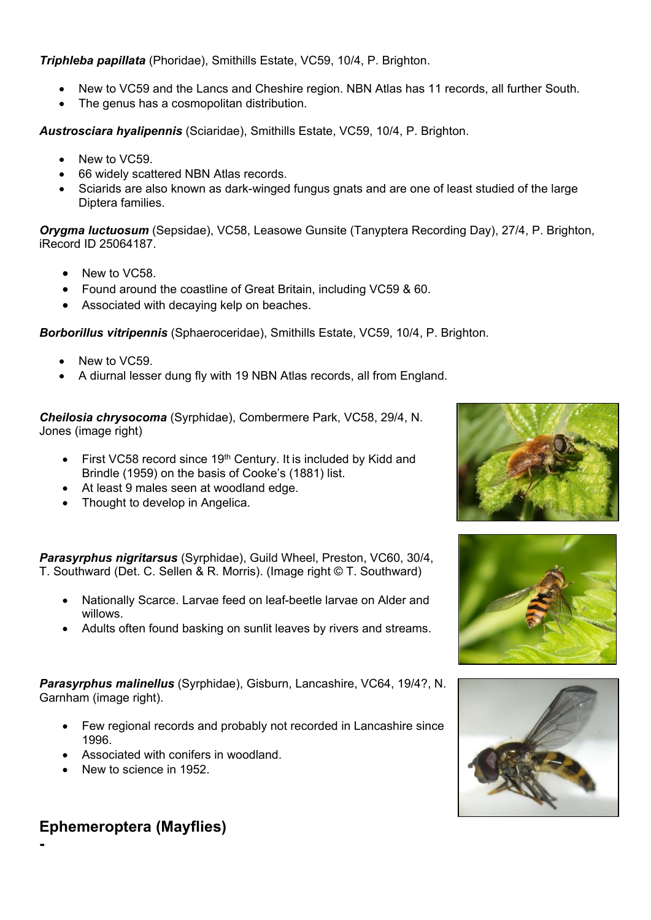*Triphleba papillata* (Phoridae), Smithills Estate, VC59, 10/4, P. Brighton.

- New to VC59 and the Lancs and Cheshire region. NBN Atlas has 11 records, all further South.
- The genus has a cosmopolitan distribution.

*Austrosciara hyalipennis* (Sciaridae), Smithills Estate, VC59, 10/4, P. Brighton.

- New to VC59.
- 66 widely scattered NBN Atlas records.
- Sciarids are also known as dark-winged fungus gnats and are one of least studied of the large Diptera families.

*Orygma luctuosum* (Sepsidae), VC58, Leasowe Gunsite (Tanyptera Recording Day), 27/4, P. Brighton, iRecord ID 25064187.

- New to VC58
- Found around the coastline of Great Britain, including VC59 & 60.
- Associated with decaying kelp on beaches.

*Borborillus vitripennis* (Sphaeroceridae), Smithills Estate, VC59, 10/4, P. Brighton.

- New to VC59.
- A diurnal lesser dung fly with 19 NBN Atlas records, all from England.

*Cheilosia chrysocoma* (Syrphidae), Combermere Park, VC58, 29/4, N. Jones (image right)

- First VC58 record since  $19<sup>th</sup>$  Century. It is included by Kidd and Brindle (1959) on the basis of Cooke's (1881) list.
- At least 9 males seen at woodland edge.
- Thought to develop in Angelica.

*Parasyrphus nigritarsus* (Syrphidae), Guild Wheel, Preston, VC60, 30/4, T. Southward (Det. C. Sellen & R. Morris). (Image right © T. Southward)

- Nationally Scarce. Larvae feed on leaf-beetle larvae on Alder and willows.
- Adults often found basking on sunlit leaves by rivers and streams.

*Parasyrphus malinellus* (Syrphidae), Gisburn, Lancashire, VC64, 19/4?, N. Garnham (image right).

- Few regional records and probably not recorded in Lancashire since 1996.
- Associated with conifers in woodland.
- New to science in 1952.







### **Ephemeroptera (Mayflies)**

**-**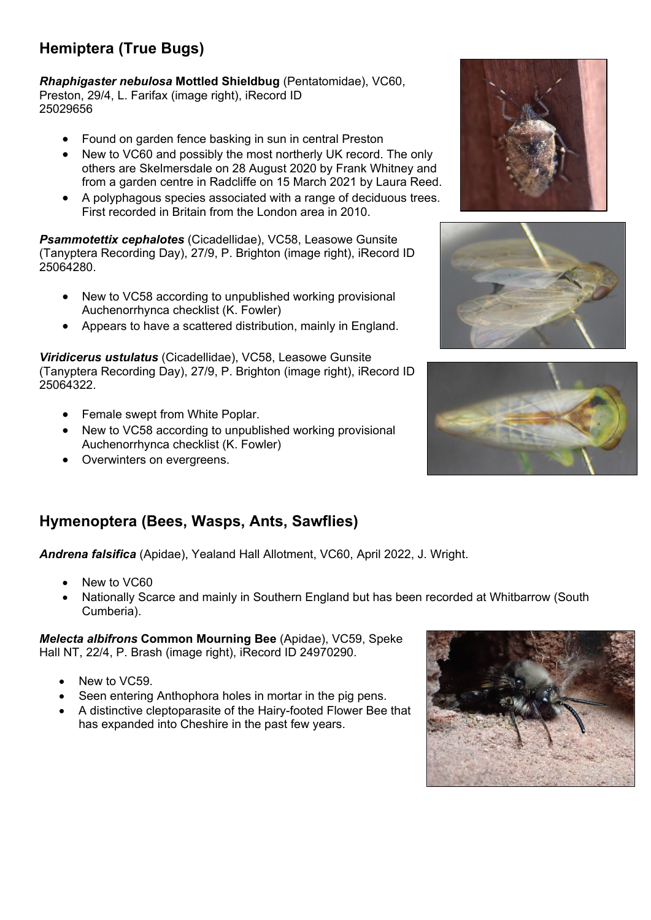### **Hemiptera (True Bugs)**

*Rhaphigaster nebulosa* **Mottled Shieldbug** (Pentatomidae), VC60, Preston, 29/4, L. Farifax (image right), iRecord ID 25029656

- Found on garden fence basking in sun in central Preston
- New to VC60 and possibly the most northerly UK record. The only others are Skelmersdale on 28 August 2020 by Frank Whitney and from a garden centre in Radcliffe on 15 March 2021 by Laura Reed.
- A polyphagous species associated with a range of deciduous trees. First recorded in Britain from the London area in 2010.

*Psammotettix cephalotes* (Cicadellidae), VC58, Leasowe Gunsite (Tanyptera Recording Day), 27/9, P. Brighton (image right), iRecord ID 25064280.

- New to VC58 according to unpublished working provisional Auchenorrhynca checklist (K. Fowler)
- Appears to have a scattered distribution, mainly in England.

*Viridicerus ustulatus* (Cicadellidae), VC58, Leasowe Gunsite (Tanyptera Recording Day), 27/9, P. Brighton (image right), iRecord ID 25064322.

- Female swept from White Poplar.
- New to VC58 according to unpublished working provisional Auchenorrhynca checklist (K. Fowler)
- Overwinters on evergreens.

### **Hymenoptera (Bees, Wasps, Ants, Sawflies)**

*Andrena falsifica* (Apidae), Yealand Hall Allotment, VC60, April 2022, J. Wright.

- New to VC60
- Nationally Scarce and mainly in Southern England but has been recorded at Whitbarrow (South Cumberia).

*Melecta albifrons* **Common Mourning Bee** (Apidae), VC59, Speke Hall NT, 22/4, P. Brash (image right), iRecord ID 24970290.

- New to VC59.
- Seen entering Anthophora holes in mortar in the pig pens.
- A distinctive cleptoparasite of the Hairy-footed Flower Bee that has expanded into Cheshire in the past few years.







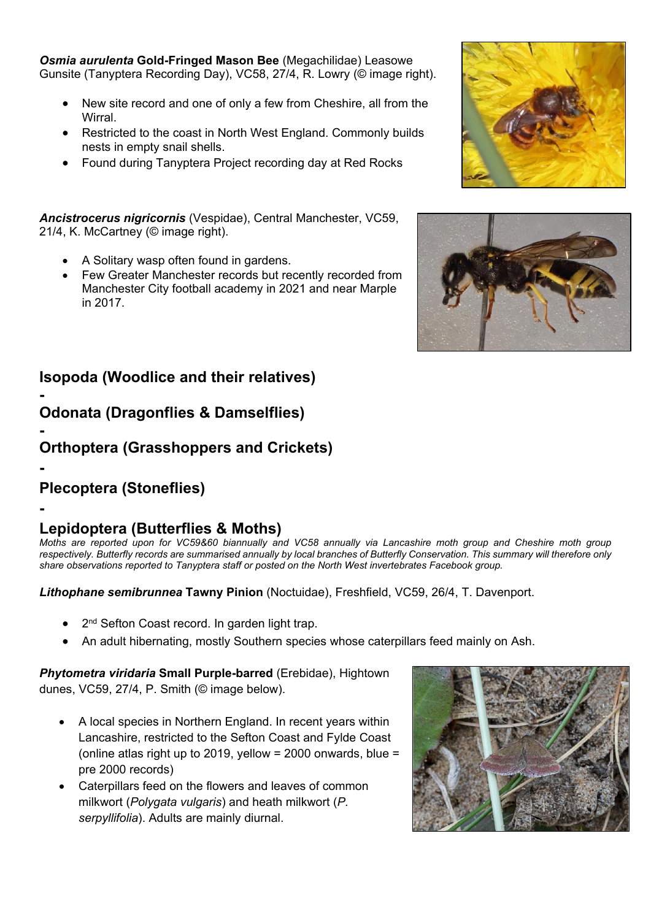*Osmia aurulenta* **Gold-Fringed Mason Bee** (Megachilidae) Leasowe Gunsite (Tanyptera Recording Day), VC58, 27/4, R. Lowry (© image right).

- New site record and one of only a few from Cheshire, all from the **Wirral**
- Restricted to the coast in North West England. Commonly builds nests in empty snail shells.
- Found during Tanyptera Project recording day at Red Rocks

*Ancistrocerus nigricornis* (Vespidae), Central Manchester, VC59, 21/4, K. McCartney (© image right).

- A Solitary wasp often found in gardens.
- Few Greater Manchester records but recently recorded from Manchester City football academy in 2021 and near Marple in 2017.



**- Odonata (Dragonflies & Damselflies)** 

#### **- Orthoptera (Grasshoppers and Crickets)**

### **Plecoptera (Stoneflies)**

**-** 

**-** 

### **Lepidoptera (Butterflies & Moths)**

*Moths are reported upon for VC59&60 biannually and VC58 annually via Lancashire moth group and Cheshire moth group respectively. Butterfly records are summarised annually by local branches of Butterfly Conservation. This summary will therefore only share observations reported to Tanyptera staff or posted on the North West invertebrates Facebook group.*

*Lithophane semibrunnea* **Tawny Pinion** (Noctuidae), Freshfield, VC59, 26/4, T. Davenport.

- 2<sup>nd</sup> Sefton Coast record. In garden light trap.
- An adult hibernating, mostly Southern species whose caterpillars feed mainly on Ash.

*Phytometra viridaria* **Small Purple-barred** (Erebidae), Hightown dunes, VC59, 27/4, P. Smith (© image below).

- A local species in Northern England. In recent years within Lancashire, restricted to the Sefton Coast and Fylde Coast (online atlas right up to 2019, yellow = 2000 onwards, blue = pre 2000 records)
- Caterpillars feed on the flowers and leaves of common milkwort (*Polygata vulgaris*) and heath milkwort (*P. serpyllifolia*). Adults are mainly diurnal.